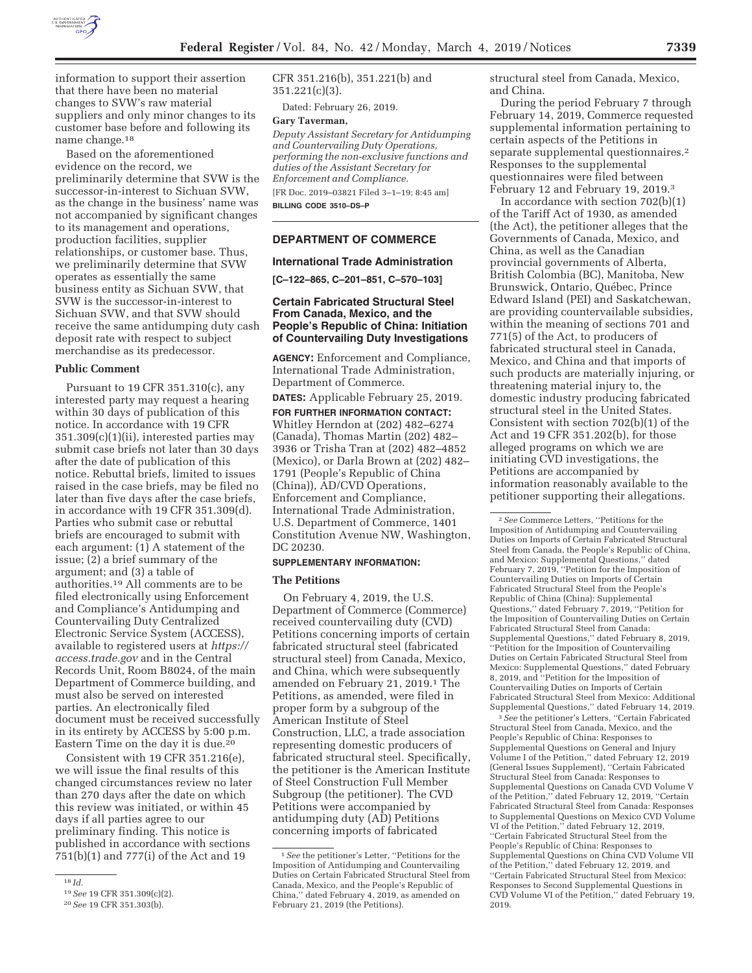

information to support their assertion that there have been no material changes to SVW's raw material suppliers and only minor changes to its customer base before and following its name change.18

Based on the aforementioned evidence on the record, we preliminarily determine that SVW is the successor-in-interest to Sichuan SVW, as the change in the business' name was not accompanied by significant changes to its management and operations, production facilities, supplier relationships, or customer base. Thus, we preliminarily determine that SVW operates as essentially the same business entity as Sichuan SVW, that SVW is the successor-in-interest to Sichuan SVW, and that SVW should receive the same antidumping duty cash deposit rate with respect to subject merchandise as its predecessor.

### **Public Comment**

Pursuant to 19 CFR 351.310(c), any interested party may request a hearing within 30 days of publication of this notice. In accordance with 19 CFR 351.309(c)(1)(ii), interested parties may submit case briefs not later than 30 days after the date of publication of this notice. Rebuttal briefs, limited to issues raised in the case briefs, may be filed no later than five days after the case briefs, in accordance with 19 CFR 351.309(d). Parties who submit case or rebuttal briefs are encouraged to submit with each argument: (1) A statement of the issue; (2) a brief summary of the argument; and (3) a table of authorities.19 All comments are to be filed electronically using Enforcement and Compliance's Antidumping and Countervailing Duty Centralized Electronic Service System (ACCESS), available to registered users at *https:// access.trade.gov* and in the Central Records Unit, Room B8024, of the main Department of Commerce building, and must also be served on interested parties. An electronically filed document must be received successfully in its entirety by ACCESS by 5:00 p.m. Eastern Time on the day it is due.<sup>20</sup>

Consistent with 19 CFR 351.216(e), we will issue the final results of this changed circumstances review no later than 270 days after the date on which this review was initiated, or within 45 days if all parties agree to our preliminary finding. This notice is published in accordance with sections 751(b)(1) and 777(i) of the Act and 19

CFR 351.216(b), 351.221(b) and 351.221(c)(3).

Dated: February 26, 2019.

#### **Gary Taverman,**

*Deputy Assistant Secretary for Antidumping and Countervailing Duty Operations, performing the non-exclusive functions and duties of the Assistant Secretary for Enforcement and Compliance.* 

[FR Doc. 2019–03821 Filed 3–1–19; 8:45 am]

**BILLING CODE 3510–DS–P** 

#### **DEPARTMENT OF COMMERCE**

#### **International Trade Administration**

**[C–122–865, C–201–851, C–570–103]** 

# **Certain Fabricated Structural Steel From Canada, Mexico, and the People's Republic of China: Initiation of Countervailing Duty Investigations**

**AGENCY:** Enforcement and Compliance, International Trade Administration, Department of Commerce.

**DATES:** Applicable February 25, 2019.

**FOR FURTHER INFORMATION CONTACT:**  Whitley Herndon at (202) 482–6274 (Canada), Thomas Martin (202) 482– 3936 or Trisha Tran at (202) 482–4852 (Mexico), or Darla Brown at (202) 482– 1791 (People's Republic of China (China)), AD/CVD Operations, Enforcement and Compliance, International Trade Administration, U.S. Department of Commerce, 1401 Constitution Avenue NW, Washington, DC 20230.

# **SUPPLEMENTARY INFORMATION:**

#### **The Petitions**

On February 4, 2019, the U.S. Department of Commerce (Commerce) received countervailing duty (CVD) Petitions concerning imports of certain fabricated structural steel (fabricated structural steel) from Canada, Mexico, and China, which were subsequently amended on February 21, 2019.1 The Petitions, as amended, were filed in proper form by a subgroup of the American Institute of Steel Construction, LLC, a trade association representing domestic producers of fabricated structural steel. Specifically, the petitioner is the American Institute of Steel Construction Full Member Subgroup (the petitioner). The CVD Petitions were accompanied by antidumping duty (AD) Petitions concerning imports of fabricated

structural steel from Canada, Mexico, and China.

During the period February 7 through February 14, 2019, Commerce requested supplemental information pertaining to certain aspects of the Petitions in separate supplemental questionnaires.2 Responses to the supplemental questionnaires were filed between February 12 and February 19, 2019.3

In accordance with section  $702(b)(1)$ of the Tariff Act of 1930, as amended (the Act), the petitioner alleges that the Governments of Canada, Mexico, and China, as well as the Canadian provincial governments of Alberta, British Colombia (BC), Manitoba, New Brunswick, Ontario, Québec, Prince Edward Island (PEI) and Saskatchewan, are providing countervailable subsidies, within the meaning of sections 701 and 771(5) of the Act, to producers of fabricated structural steel in Canada, Mexico, and China and that imports of such products are materially injuring, or threatening material injury to, the domestic industry producing fabricated structural steel in the United States. Consistent with section 702(b)(1) of the Act and 19 CFR 351.202(b), for those alleged programs on which we are initiating CVD investigations, the Petitions are accompanied by information reasonably available to the petitioner supporting their allegations.

3*See* the petitioner's Letters, ''Certain Fabricated Structural Steel from Canada, Mexico, and the People's Republic of China: Responses to Supplemental Questions on General and Injury Volume I of the Petition,'' dated February 12, 2019 (General Issues Supplement), ''Certain Fabricated Structural Steel from Canada: Responses to Supplemental Questions on Canada CVD Volume V of the Petition,'' dated February 12, 2019, ''Certain Fabricated Structural Steel from Canada: Responses to Supplemental Questions on Mexico CVD Volume VI of the Petition,'' dated February 12, 2019, ''Certain Fabricated Structural Steel from the People's Republic of China: Responses to Supplemental Questions on China CVD Volume VII of the Petition,'' dated February 12, 2019, and ''Certain Fabricated Structural Steel from Mexico: Responses to Second Supplemental Questions in CVD Volume VI of the Petition,'' dated February 19, 2019.

<sup>18</sup> *Id.* 

<sup>19</sup>*See* 19 CFR 351.309(c)(2).

<sup>20</sup>*See* 19 CFR 351.303(b).

<sup>1</sup>*See* the petitioner's Letter, ''Petitions for the Imposition of Antidumping and Countervailing Duties on Certain Fabricated Structural Steel from Canada, Mexico, and the People's Republic of China,'' dated February 4, 2019, as amended on February 21, 2019 (the Petitions).

<sup>2</sup>*See* Commerce Letters, ''Petitions for the Imposition of Antidumping and Countervailing Duties on Imports of Certain Fabricated Structural Steel from Canada, the People's Republic of China, and Mexico: Supplemental Questions,'' dated February 7, 2019, ''Petition for the Imposition of Countervailing Duties on Imports of Certain Fabricated Structural Steel from the People's Republic of China (China): Supplemental Questions,'' dated February 7, 2019, ''Petition for the Imposition of Countervailing Duties on Certain Fabricated Structural Steel from Canada: Supplemental Questions,'' dated February 8, 2019, ''Petition for the Imposition of Countervailing Duties on Certain Fabricated Structural Steel from Mexico: Supplemental Questions,'' dated February 8, 2019, and ''Petition for the Imposition of Countervailing Duties on Imports of Certain Fabricated Structural Steel from Mexico: Additional Supplemental Questions,'' dated February 14, 2019.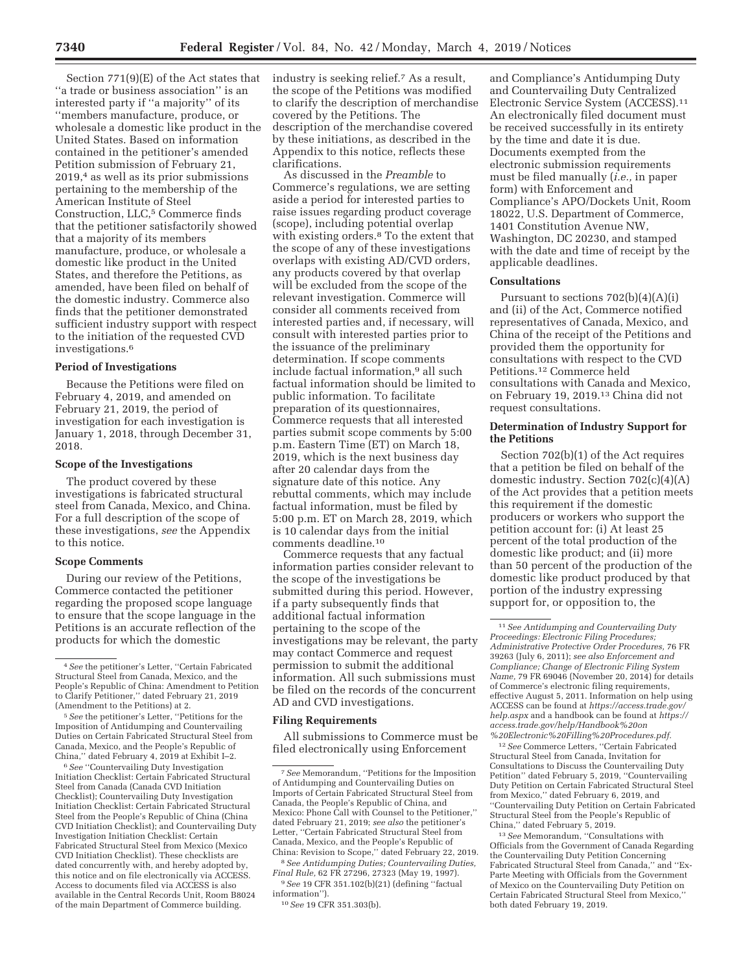Section 771(9)(E) of the Act states that ''a trade or business association'' is an interested party if ''a majority'' of its ''members manufacture, produce, or wholesale a domestic like product in the United States. Based on information contained in the petitioner's amended Petition submission of February 21, 2019,4 as well as its prior submissions pertaining to the membership of the American Institute of Steel Construction, LLC,<sup>5</sup> Commerce finds that the petitioner satisfactorily showed that a majority of its members manufacture, produce, or wholesale a domestic like product in the United States, and therefore the Petitions, as amended, have been filed on behalf of the domestic industry. Commerce also finds that the petitioner demonstrated sufficient industry support with respect to the initiation of the requested CVD investigations.6

### **Period of Investigations**

Because the Petitions were filed on February 4, 2019, and amended on February 21, 2019, the period of investigation for each investigation is January 1, 2018, through December 31, 2018.

# **Scope of the Investigations**

The product covered by these investigations is fabricated structural steel from Canada, Mexico, and China. For a full description of the scope of these investigations, *see* the Appendix to this notice.

### **Scope Comments**

During our review of the Petitions, Commerce contacted the petitioner regarding the proposed scope language to ensure that the scope language in the Petitions is an accurate reflection of the products for which the domestic

6*See* ''Countervailing Duty Investigation Initiation Checklist: Certain Fabricated Structural Steel from Canada (Canada CVD Initiation Checklist); Countervailing Duty Investigation Initiation Checklist: Certain Fabricated Structural Steel from the People's Republic of China (China CVD Initiation Checklist); and Countervailing Duty Investigation Initiation Checklist: Certain Fabricated Structural Steel from Mexico (Mexico CVD Initiation Checklist). These checklists are dated concurrently with, and hereby adopted by, this notice and on file electronically via ACCESS. Access to documents filed via ACCESS is also available in the Central Records Unit, Room B8024 of the main Department of Commerce building.

industry is seeking relief.7 As a result, the scope of the Petitions was modified to clarify the description of merchandise covered by the Petitions. The description of the merchandise covered by these initiations, as described in the Appendix to this notice, reflects these clarifications.

As discussed in the *Preamble* to Commerce's regulations, we are setting aside a period for interested parties to raise issues regarding product coverage (scope), including potential overlap with existing orders.8 To the extent that the scope of any of these investigations overlaps with existing AD/CVD orders, any products covered by that overlap will be excluded from the scope of the relevant investigation. Commerce will consider all comments received from interested parties and, if necessary, will consult with interested parties prior to the issuance of the preliminary determination. If scope comments include factual information,9 all such factual information should be limited to public information. To facilitate preparation of its questionnaires, Commerce requests that all interested parties submit scope comments by 5:00 p.m. Eastern Time (ET) on March 18, 2019, which is the next business day after 20 calendar days from the signature date of this notice. Any rebuttal comments, which may include factual information, must be filed by 5:00 p.m. ET on March 28, 2019, which is 10 calendar days from the initial comments deadline.10

Commerce requests that any factual information parties consider relevant to the scope of the investigations be submitted during this period. However, if a party subsequently finds that additional factual information pertaining to the scope of the investigations may be relevant, the party may contact Commerce and request permission to submit the additional information. All such submissions must be filed on the records of the concurrent AD and CVD investigations.

### **Filing Requirements**

All submissions to Commerce must be filed electronically using Enforcement

8*See Antidumping Duties; Countervailing Duties, Final Rule,* 62 FR 27296, 27323 (May 19, 1997).

9*See* 19 CFR 351.102(b)(21) (defining ''factual information'').

and Compliance's Antidumping Duty and Countervailing Duty Centralized Electronic Service System (ACCESS).11 An electronically filed document must be received successfully in its entirety by the time and date it is due. Documents exempted from the electronic submission requirements must be filed manually (*i.e.,* in paper form) with Enforcement and Compliance's APO/Dockets Unit, Room 18022, U.S. Department of Commerce, 1401 Constitution Avenue NW, Washington, DC 20230, and stamped with the date and time of receipt by the applicable deadlines.

### **Consultations**

Pursuant to sections  $702(b)(4)(A)(i)$ and (ii) of the Act, Commerce notified representatives of Canada, Mexico, and China of the receipt of the Petitions and provided them the opportunity for consultations with respect to the CVD Petitions.12 Commerce held consultations with Canada and Mexico, on February 19, 2019.13 China did not request consultations.

### **Determination of Industry Support for the Petitions**

Section 702(b)(1) of the Act requires that a petition be filed on behalf of the domestic industry. Section 702(c)(4)(A) of the Act provides that a petition meets this requirement if the domestic producers or workers who support the petition account for: (i) At least 25 percent of the total production of the domestic like product; and (ii) more than 50 percent of the production of the domestic like product produced by that portion of the industry expressing support for, or opposition to, the

12*See* Commerce Letters, ''Certain Fabricated Structural Steel from Canada, Invitation for Consultations to Discuss the Countervailing Duty Petition'' dated February 5, 2019, ''Countervailing Duty Petition on Certain Fabricated Structural Steel from Mexico,'' dated February 6, 2019, and ''Countervailing Duty Petition on Certain Fabricated Structural Steel from the People's Republic of China,'' dated February 5, 2019.

<sup>4</sup>*See* the petitioner's Letter, ''Certain Fabricated Structural Steel from Canada, Mexico, and the People's Republic of China: Amendment to Petition to Clarify Petitioner,'' dated February 21, 2019 (Amendment to the Petitions) at 2.

<sup>5</sup>*See* the petitioner's Letter, ''Petitions for the Imposition of Antidumping and Countervailing Duties on Certain Fabricated Structural Steel from Canada, Mexico, and the People's Republic of China,'' dated February 4, 2019 at Exhibit I–2.

<sup>7</sup>*See* Memorandum, ''Petitions for the Imposition of Antidumping and Countervailing Duties on Imports of Certain Fabricated Structural Steel from Canada, the People's Republic of China, and Mexico: Phone Call with Counsel to the Petitioner,'' dated February 21, 2019; *see also* the petitioner's Letter, ''Certain Fabricated Structural Steel from Canada, Mexico, and the People's Republic of China: Revision to Scope,'' dated February 22, 2019.

<sup>10</sup>*See* 19 CFR 351.303(b).

<sup>11</sup>*See Antidumping and Countervailing Duty Proceedings: Electronic Filing Procedures; Administrative Protective Order Procedures,* 76 FR 39263 (July 6, 2011); *see also Enforcement and Compliance; Change of Electronic Filing System Name,* 79 FR 69046 (November 20, 2014) for details of Commerce's electronic filing requirements, effective August 5, 2011. Information on help using ACCESS can be found at *https://access.trade.gov/ help.aspx* and a handbook can be found at *https:// access.trade.gov/help/Handbook%20on %20Electronic%20Filling%20Procedures.pdf.* 

<sup>13</sup>*See* Memorandum, ''Consultations with Officials from the Government of Canada Regarding the Countervailing Duty Petition Concerning Fabricated Structural Steel from Canada,'' and ''Ex-Parte Meeting with Officials from the Government of Mexico on the Countervailing Duty Petition on Certain Fabricated Structural Steel from Mexico,'' both dated February 19, 2019.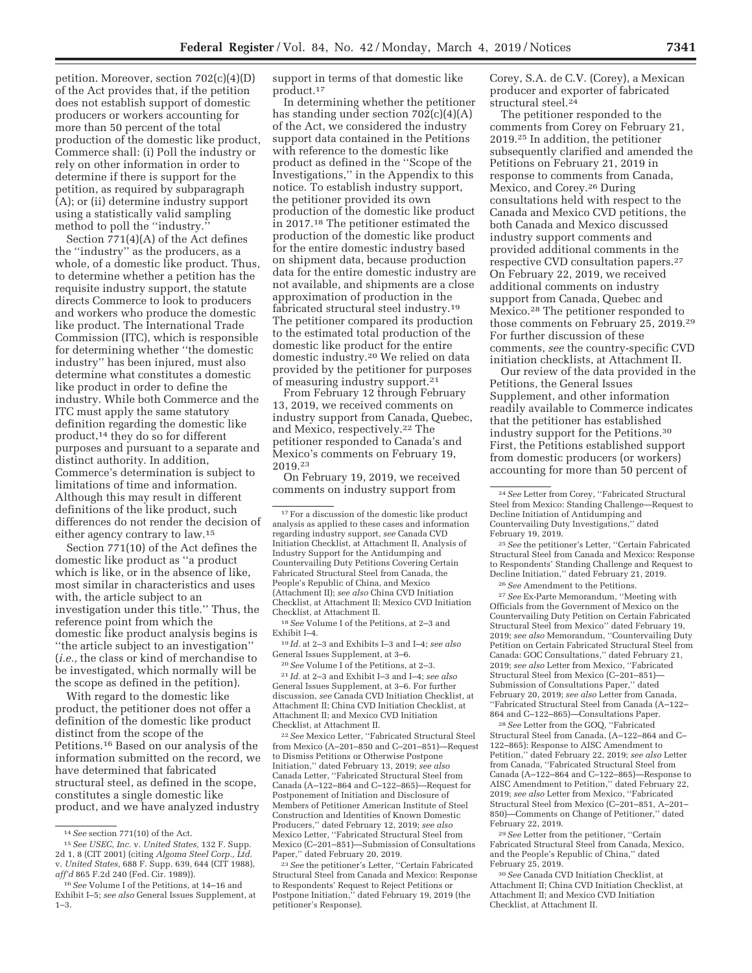petition. Moreover, section 702(c)(4)(D) of the Act provides that, if the petition does not establish support of domestic producers or workers accounting for more than 50 percent of the total production of the domestic like product, Commerce shall: (i) Poll the industry or rely on other information in order to determine if there is support for the petition, as required by subparagraph (A); or (ii) determine industry support using a statistically valid sampling method to poll the "industry."

Section 771(4)(A) of the Act defines the ''industry'' as the producers, as a whole, of a domestic like product. Thus, to determine whether a petition has the requisite industry support, the statute directs Commerce to look to producers and workers who produce the domestic like product. The International Trade Commission (ITC), which is responsible for determining whether ''the domestic industry'' has been injured, must also determine what constitutes a domestic like product in order to define the industry. While both Commerce and the ITC must apply the same statutory definition regarding the domestic like product,14 they do so for different purposes and pursuant to a separate and distinct authority. In addition, Commerce's determination is subject to limitations of time and information. Although this may result in different definitions of the like product, such differences do not render the decision of either agency contrary to law.15

Section 771(10) of the Act defines the domestic like product as ''a product which is like, or in the absence of like, most similar in characteristics and uses with, the article subject to an investigation under this title.'' Thus, the reference point from which the domestic like product analysis begins is ''the article subject to an investigation'' (*i.e.,* the class or kind of merchandise to be investigated, which normally will be the scope as defined in the petition).

With regard to the domestic like product, the petitioner does not offer a definition of the domestic like product distinct from the scope of the Petitions.16 Based on our analysis of the information submitted on the record, we have determined that fabricated structural steel, as defined in the scope, constitutes a single domestic like product, and we have analyzed industry

support in terms of that domestic like product.17

In determining whether the petitioner has standing under section 702(c)(4)(A) of the Act, we considered the industry support data contained in the Petitions with reference to the domestic like product as defined in the ''Scope of the Investigations,'' in the Appendix to this notice. To establish industry support, the petitioner provided its own production of the domestic like product in 2017.18 The petitioner estimated the production of the domestic like product for the entire domestic industry based on shipment data, because production data for the entire domestic industry are not available, and shipments are a close approximation of production in the fabricated structural steel industry.19 The petitioner compared its production to the estimated total production of the domestic like product for the entire domestic industry.20 We relied on data provided by the petitioner for purposes of measuring industry support.21

From February 12 through February 13, 2019, we received comments on industry support from Canada, Quebec, and Mexico, respectively.22 The petitioner responded to Canada's and Mexico's comments on February 19, 2019.23

On February 19, 2019, we received comments on industry support from

18*See* Volume I of the Petitions, at 2–3 and Exhibit I–4.

19 *Id.* at 2–3 and Exhibits I–3 and I–4; *see also*  General Issues Supplement, at 3–6.

20*See* Volume I of the Petitions, at 2–3. 21 *Id.* at 2–3 and Exhibit I–3 and I–4; *see also*  General Issues Supplement, at 3–6. For further discussion, *see* Canada CVD Initiation Checklist, at Attachment II; China CVD Initiation Checklist, at Attachment II; and Mexico CVD Initiation Checklist, at Attachment II.

22*See* Mexico Letter, ''Fabricated Structural Steel from Mexico (A–201–850 and C–201–851)—Request to Dismiss Petitions or Otherwise Postpone Initiation,'' dated February 13, 2019; *see also*  Canada Letter, ''Fabricated Structural Steel from Canada (A–122–864 and C–122–865)—Request for Postponement of Initiation and Disclosure of Members of Petitioner American Institute of Steel Construction and Identities of Known Domestic Producers,'' dated February 12, 2019; *see also*  Mexico Letter, ''Fabricated Structural Steel from Mexico (C–201–851)—Submission of Consultations Paper,'' dated February 20, 2019.

23*See* the petitioner's Letter, ''Certain Fabricated Structural Steel from Canada and Mexico: Response to Respondents' Request to Reject Petitions or Postpone Initiation,'' dated February 19, 2019 (the petitioner's Response).

Corey, S.A. de C.V. (Corey), a Mexican producer and exporter of fabricated structural steel.24

The petitioner responded to the comments from Corey on February 21, 2019.25 In addition, the petitioner subsequently clarified and amended the Petitions on February 21, 2019 in response to comments from Canada, Mexico, and Corey.26 During consultations held with respect to the Canada and Mexico CVD petitions, the both Canada and Mexico discussed industry support comments and provided additional comments in the respective CVD consultation papers.27 On February 22, 2019, we received additional comments on industry support from Canada, Quebec and Mexico.28 The petitioner responded to those comments on February 25, 2019.29 For further discussion of these comments, *see* the country-specific CVD initiation checklists, at Attachment II.

Our review of the data provided in the Petitions, the General Issues Supplement, and other information readily available to Commerce indicates that the petitioner has established industry support for the Petitions.30 First, the Petitions established support from domestic producers (or workers) accounting for more than 50 percent of

25*See* the petitioner's Letter, ''Certain Fabricated Structural Steel from Canada and Mexico: Response to Respondents' Standing Challenge and Request to Decline Initiation,'' dated February 21, 2019.

26*See* Amendment to the Petitions.

27*See* Ex-Parte Memorandum, ''Meeting with Officials from the Government of Mexico on the Countervailing Duty Petition on Certain Fabricated Structural Steel from Mexico'' dated February 19, 2019; *see also* Memorandum, ''Countervailing Duty Petition on Certain Fabricated Structural Steel from Canada: GOC Consultations,'' dated February 21, 2019; *see also* Letter from Mexico, ''Fabricated Structural Steel from Mexico (C–201–851)— Submission of Consultations Paper,'' dated February 20, 2019; *see also* Letter from Canada, ''Fabricated Structural Steel from Canada (A–122– 864 and C–122–865)—Consultations Paper.

28*See* Letter from the GOQ, ''Fabricated Structural Steel from Canada, (A–122–864 and C– 122–865): Response to AISC Amendment to Petition,'' dated February 22, 2019; *see also* Letter from Canada, ''Fabricated Structural Steel from Canada (A–122–864 and C–122–865)—Response to AISC Amendment to Petition,'' dated February 22, 2019; *see also* Letter from Mexico, ''Fabricated Structural Steel from Mexico (C–201–851, A–201– 850)—Comments on Change of Petitioner,'' dated February 22, 2019.

29*See* Letter from the petitioner, ''Certain Fabricated Structural Steel from Canada, Mexico, and the People's Republic of China,'' dated February 25, 2019.

30*See* Canada CVD Initiation Checklist, at Attachment II; China CVD Initiation Checklist, at Attachment II; and Mexico CVD Initiation Checklist, at Attachment II.

<sup>14</sup>*See* section 771(10) of the Act.

<sup>15</sup>*See USEC, Inc.* v. *United States,* 132 F. Supp. 2d 1, 8 (CIT 2001) (citing *Algoma Steel Corp., Ltd.*  v. *United States,* 688 F. Supp. 639, 644 (CIT 1988), *aff'd* 865 F.2d 240 (Fed. Cir. 1989)).

<sup>16</sup>*See* Volume I of the Petitions, at 14–16 and Exhibit I–5; *see also* General Issues Supplement, at 1–3.

<sup>17</sup>For a discussion of the domestic like product analysis as applied to these cases and information regarding industry support, *see* Canada CVD Initiation Checklist, at Attachment II, Analysis of Industry Support for the Antidumping and Countervailing Duty Petitions Covering Certain Fabricated Structural Steel from Canada, the People's Republic of China, and Mexico (Attachment II); *see also* China CVD Initiation Checklist, at Attachment II; Mexico CVD Initiation Checklist, at Attachment II.

<sup>24</sup>*See* Letter from Corey, ''Fabricated Structural Steel from Mexico: Standing Challenge—Request to Decline Initiation of Antidumping and Countervailing Duty Investigations,'' dated February 19, 2019.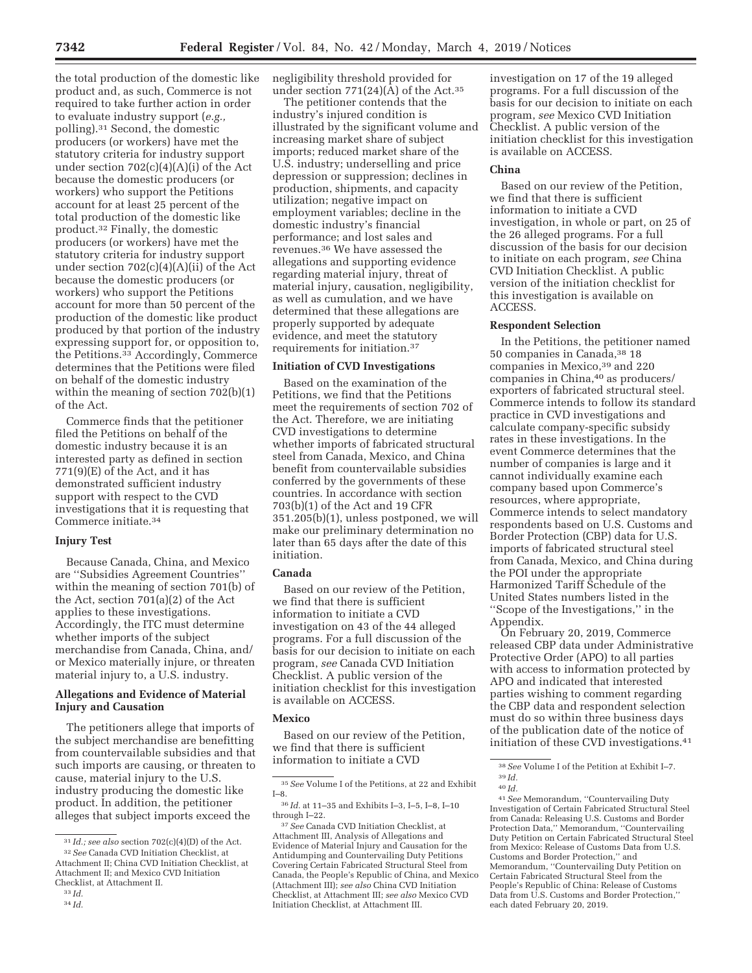the total production of the domestic like product and, as such, Commerce is not required to take further action in order to evaluate industry support (*e.g.,*  polling).31 Second, the domestic producers (or workers) have met the statutory criteria for industry support under section 702(c)(4)(A)(i) of the Act because the domestic producers (or workers) who support the Petitions account for at least 25 percent of the total production of the domestic like product.32 Finally, the domestic producers (or workers) have met the statutory criteria for industry support under section 702(c)(4)(A)(ii) of the Act because the domestic producers (or workers) who support the Petitions account for more than 50 percent of the production of the domestic like product produced by that portion of the industry expressing support for, or opposition to, the Petitions.33 Accordingly, Commerce determines that the Petitions were filed on behalf of the domestic industry within the meaning of section 702(b)(1) of the Act.

Commerce finds that the petitioner filed the Petitions on behalf of the domestic industry because it is an interested party as defined in section 771(9)(E) of the Act, and it has demonstrated sufficient industry support with respect to the CVD investigations that it is requesting that Commerce initiate.34

### **Injury Test**

Because Canada, China, and Mexico are ''Subsidies Agreement Countries'' within the meaning of section 701(b) of the Act, section 701(a)(2) of the Act applies to these investigations. Accordingly, the ITC must determine whether imports of the subject merchandise from Canada, China, and/ or Mexico materially injure, or threaten material injury to, a U.S. industry.

# **Allegations and Evidence of Material Injury and Causation**

The petitioners allege that imports of the subject merchandise are benefitting from countervailable subsidies and that such imports are causing, or threaten to cause, material injury to the U.S. industry producing the domestic like product. In addition, the petitioner alleges that subject imports exceed the

negligibility threshold provided for under section  $771(24)(\overline{A})$  of the Act.<sup>35</sup>

The petitioner contends that the industry's injured condition is illustrated by the significant volume and increasing market share of subject imports; reduced market share of the U.S. industry; underselling and price depression or suppression; declines in production, shipments, and capacity utilization; negative impact on employment variables; decline in the domestic industry's financial performance; and lost sales and revenues.36 We have assessed the allegations and supporting evidence regarding material injury, threat of material injury, causation, negligibility, as well as cumulation, and we have determined that these allegations are properly supported by adequate evidence, and meet the statutory requirements for initiation.37

### **Initiation of CVD Investigations**

Based on the examination of the Petitions, we find that the Petitions meet the requirements of section 702 of the Act. Therefore, we are initiating CVD investigations to determine whether imports of fabricated structural steel from Canada, Mexico, and China benefit from countervailable subsidies conferred by the governments of these countries. In accordance with section 703(b)(1) of the Act and 19 CFR 351.205(b)(1), unless postponed, we will make our preliminary determination no later than 65 days after the date of this initiation.

### **Canada**

Based on our review of the Petition, we find that there is sufficient information to initiate a CVD investigation on 43 of the 44 alleged programs. For a full discussion of the basis for our decision to initiate on each program, *see* Canada CVD Initiation Checklist. A public version of the initiation checklist for this investigation is available on ACCESS.

#### **Mexico**

Based on our review of the Petition, we find that there is sufficient information to initiate a CVD

investigation on 17 of the 19 alleged programs. For a full discussion of the basis for our decision to initiate on each program, *see* Mexico CVD Initiation Checklist. A public version of the initiation checklist for this investigation is available on ACCESS.

### **China**

Based on our review of the Petition, we find that there is sufficient information to initiate a CVD investigation, in whole or part, on 25 of the 26 alleged programs. For a full discussion of the basis for our decision to initiate on each program, *see* China CVD Initiation Checklist. A public version of the initiation checklist for this investigation is available on ACCESS.

#### **Respondent Selection**

In the Petitions, the petitioner named 50 companies in Canada,38 18 companies in Mexico,39 and 220 companies in China,<sup>40</sup> as producers/ exporters of fabricated structural steel. Commerce intends to follow its standard practice in CVD investigations and calculate company-specific subsidy rates in these investigations. In the event Commerce determines that the number of companies is large and it cannot individually examine each company based upon Commerce's resources, where appropriate, Commerce intends to select mandatory respondents based on U.S. Customs and Border Protection (CBP) data for U.S. imports of fabricated structural steel from Canada, Mexico, and China during the POI under the appropriate Harmonized Tariff Schedule of the United States numbers listed in the ''Scope of the Investigations,'' in the Appendix.

On February 20, 2019, Commerce released CBP data under Administrative Protective Order (APO) to all parties with access to information protected by APO and indicated that interested parties wishing to comment regarding the CBP data and respondent selection must do so within three business days of the publication date of the notice of initiation of these CVD investigations.41

<sup>31</sup> *Id.; see also* section 702(c)(4)(D) of the Act. 32*See* Canada CVD Initiation Checklist, at

Attachment II; China CVD Initiation Checklist, at Attachment II; and Mexico CVD Initiation Checklist, at Attachment II.

<sup>33</sup> *Id.*  34 *Id.* 

<sup>35</sup>*See* Volume I of the Petitions, at 22 and Exhibit I–8.

<sup>36</sup> *Id.* at 11–35 and Exhibits I–3, I–5, I–8, I–10 through I–22.

<sup>37</sup>*See* Canada CVD Initiation Checklist, at Attachment III, Analysis of Allegations and Evidence of Material Injury and Causation for the Antidumping and Countervailing Duty Petitions Covering Certain Fabricated Structural Steel from Canada, the People's Republic of China, and Mexico (Attachment III); *see also* China CVD Initiation Checklist, at Attachment III; *see also* Mexico CVD Initiation Checklist, at Attachment III.

<sup>38</sup>*See* Volume I of the Petition at Exhibit I–7. 39 *Id.* 

<sup>40</sup> *Id.* 

<sup>41</sup>*See* Memorandum, ''Countervailing Duty Investigation of Certain Fabricated Structural Steel from Canada: Releasing U.S. Customs and Border Protection Data,'' Memorandum, ''Countervailing Duty Petition on Certain Fabricated Structural Steel from Mexico: Release of Customs Data from U.S. Customs and Border Protection,'' and Memorandum, ''Countervailing Duty Petition on Certain Fabricated Structural Steel from the People's Republic of China: Release of Customs Data from U.S. Customs and Border Protection,'' each dated February 20, 2019.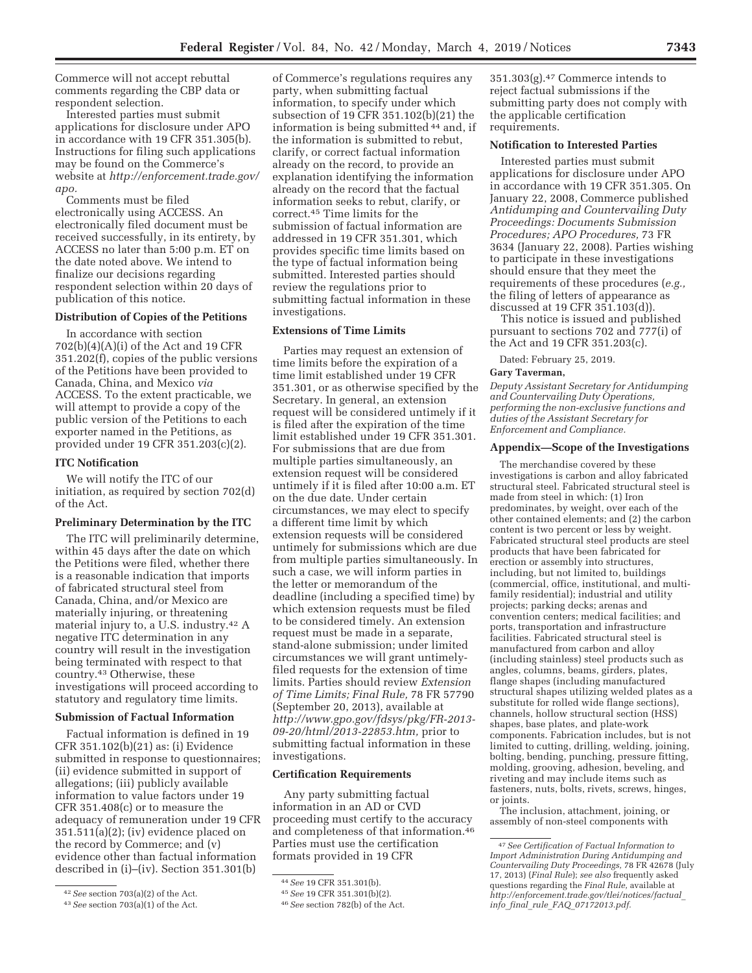Commerce will not accept rebuttal comments regarding the CBP data or respondent selection.

Interested parties must submit applications for disclosure under APO in accordance with 19 CFR 351.305(b). Instructions for filing such applications may be found on the Commerce's website at *http://enforcement.trade.gov/ apo.* 

Comments must be filed electronically using ACCESS. An electronically filed document must be received successfully, in its entirety, by ACCESS no later than 5:00 p.m. ET on the date noted above. We intend to finalize our decisions regarding respondent selection within 20 days of publication of this notice.

### **Distribution of Copies of the Petitions**

In accordance with section 702(b)(4)(A)(i) of the Act and 19 CFR 351.202(f), copies of the public versions of the Petitions have been provided to Canada, China, and Mexico *via*  ACCESS. To the extent practicable, we will attempt to provide a copy of the public version of the Petitions to each exporter named in the Petitions, as provided under 19 CFR 351.203(c)(2).

#### **ITC Notification**

We will notify the ITC of our initiation, as required by section 702(d) of the Act.

### **Preliminary Determination by the ITC**

The ITC will preliminarily determine, within 45 days after the date on which the Petitions were filed, whether there is a reasonable indication that imports of fabricated structural steel from Canada, China, and/or Mexico are materially injuring, or threatening material injury to, a U.S. industry.42 A negative ITC determination in any country will result in the investigation being terminated with respect to that country.43 Otherwise, these investigations will proceed according to statutory and regulatory time limits.

### **Submission of Factual Information**

Factual information is defined in 19 CFR 351.102(b)(21) as: (i) Evidence submitted in response to questionnaires; (ii) evidence submitted in support of allegations; (iii) publicly available information to value factors under 19 CFR 351.408(c) or to measure the adequacy of remuneration under 19 CFR 351.511(a)(2); (iv) evidence placed on the record by Commerce; and (v) evidence other than factual information described in (i)–(iv). Section 351.301(b)

of Commerce's regulations requires any party, when submitting factual information, to specify under which subsection of 19 CFR 351.102(b)(21) the information is being submitted 44 and, if the information is submitted to rebut, clarify, or correct factual information already on the record, to provide an explanation identifying the information already on the record that the factual information seeks to rebut, clarify, or correct.45 Time limits for the submission of factual information are addressed in 19 CFR 351.301, which provides specific time limits based on the type of factual information being submitted. Interested parties should review the regulations prior to submitting factual information in these investigations.

# **Extensions of Time Limits**

Parties may request an extension of time limits before the expiration of a time limit established under 19 CFR 351.301, or as otherwise specified by the Secretary. In general, an extension request will be considered untimely if it is filed after the expiration of the time limit established under 19 CFR 351.301. For submissions that are due from multiple parties simultaneously, an extension request will be considered untimely if it is filed after 10:00 a.m. ET on the due date. Under certain circumstances, we may elect to specify a different time limit by which extension requests will be considered untimely for submissions which are due from multiple parties simultaneously. In such a case, we will inform parties in the letter or memorandum of the deadline (including a specified time) by which extension requests must be filed to be considered timely. An extension request must be made in a separate, stand-alone submission; under limited circumstances we will grant untimelyfiled requests for the extension of time limits. Parties should review *Extension of Time Limits; Final Rule,* 78 FR 57790 (September 20, 2013), available at *http://www.gpo.gov/fdsys/pkg/FR-2013- 09-20/html/2013-22853.htm,* prior to submitting factual information in these investigations.

### **Certification Requirements**

Any party submitting factual information in an AD or CVD proceeding must certify to the accuracy and completeness of that information.46 Parties must use the certification formats provided in 19 CFR

351.303(g).47 Commerce intends to reject factual submissions if the submitting party does not comply with the applicable certification requirements.

### **Notification to Interested Parties**

Interested parties must submit applications for disclosure under APO in accordance with 19 CFR 351.305. On January 22, 2008, Commerce published *Antidumping and Countervailing Duty Proceedings: Documents Submission Procedures; APO Procedures,* 73 FR 3634 (January 22, 2008). Parties wishing to participate in these investigations should ensure that they meet the requirements of these procedures (*e.g.,*  the filing of letters of appearance as discussed at 19 CFR 351.103(d)).

This notice is issued and published pursuant to sections 702 and 777(i) of the Act and 19 CFR 351.203(c).

Dated: February 25, 2019.

#### **Gary Taverman,**

*Deputy Assistant Secretary for Antidumping and Countervailing Duty Operations, performing the non-exclusive functions and duties of the Assistant Secretary for Enforcement and Compliance.* 

#### **Appendix—Scope of the Investigations**

The merchandise covered by these investigations is carbon and alloy fabricated structural steel. Fabricated structural steel is made from steel in which: (1) Iron predominates, by weight, over each of the other contained elements; and (2) the carbon content is two percent or less by weight. Fabricated structural steel products are steel products that have been fabricated for erection or assembly into structures, including, but not limited to, buildings (commercial, office, institutional, and multifamily residential); industrial and utility projects; parking decks; arenas and convention centers; medical facilities; and ports, transportation and infrastructure facilities. Fabricated structural steel is manufactured from carbon and alloy (including stainless) steel products such as angles, columns, beams, girders, plates, flange shapes (including manufactured structural shapes utilizing welded plates as a substitute for rolled wide flange sections), channels, hollow structural section (HSS) shapes, base plates, and plate-work components. Fabrication includes, but is not limited to cutting, drilling, welding, joining, bolting, bending, punching, pressure fitting, molding, grooving, adhesion, beveling, and riveting and may include items such as fasteners, nuts, bolts, rivets, screws, hinges, or joints.

The inclusion, attachment, joining, or assembly of non-steel components with

<sup>42</sup>*See* section 703(a)(2) of the Act.

<sup>43</sup>*See* section 703(a)(1) of the Act.

<sup>44</sup>*See* 19 CFR 351.301(b).

<sup>45</sup>*See* 19 CFR 351.301(b)(2).

<sup>46</sup>*See* section 782(b) of the Act.

<sup>47</sup>*See Certification of Factual Information to Import Administration During Antidumping and Countervailing Duty Proceedings,* 78 FR 42678 (July 17, 2013) (*Final Rule*); *see also* frequently asked questions regarding the *Final Rule,* available at *http://enforcement.trade.gov/tlei/notices/factual*\_ *info*\_*final*\_*rule*\_*FAQ*\_*07172013.pdf.*